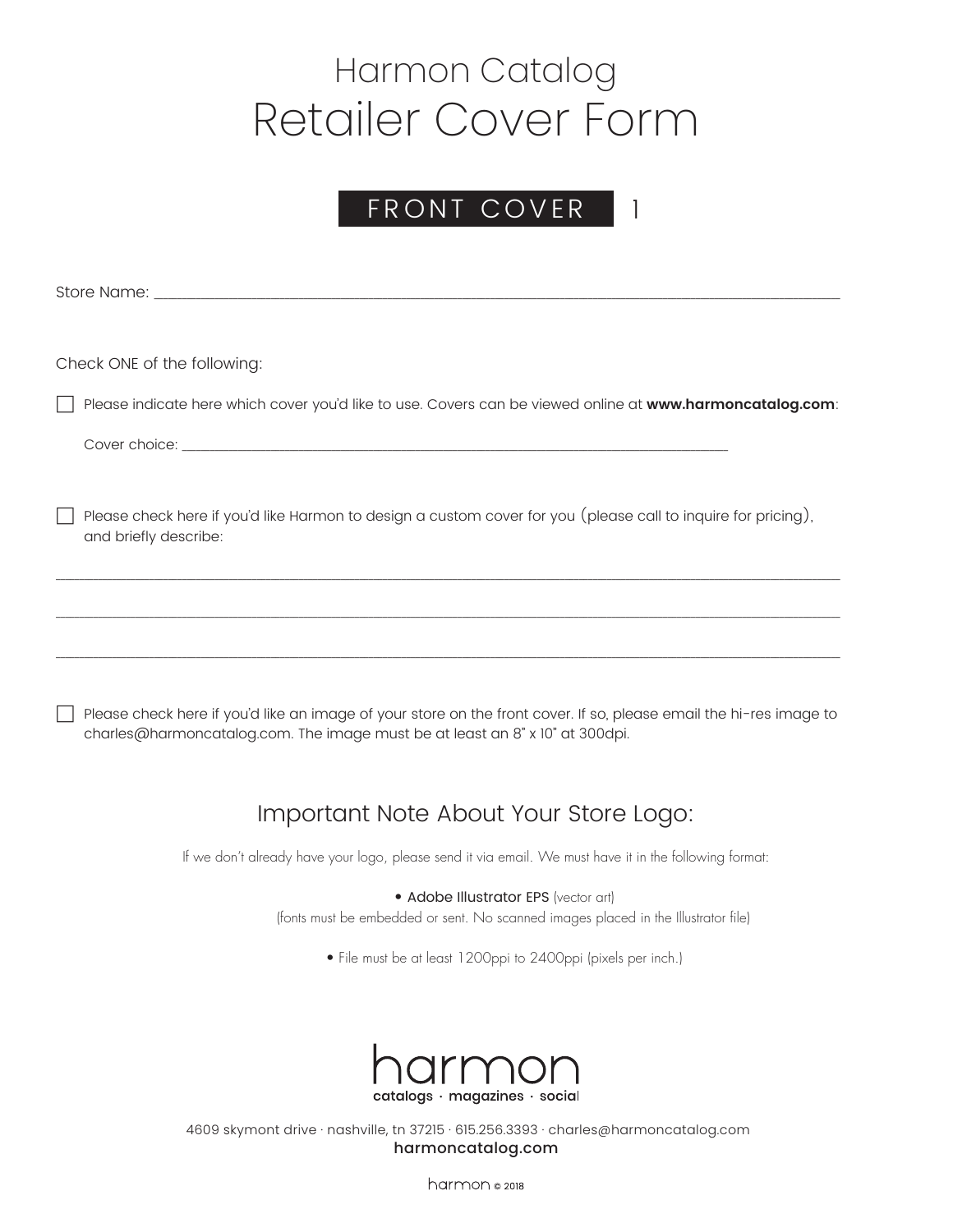### FRONT COVER 1

Store Name:

Check ONE of the following:

h Please indicate here which cover you'd like to use. Covers can be viewed online at **www.harmoncatalog.com**:

Cover choice: \_\_\_\_\_\_\_

 $\Box$  Please check here if you'd like Harmon to design a custom cover for you (please call to inquire for pricing), and briefly describe:

\_\_\_\_\_\_\_\_\_\_\_\_\_\_\_\_\_\_\_\_\_\_\_\_\_\_\_\_\_\_\_\_\_\_\_\_\_\_\_\_\_\_\_\_\_\_\_\_\_\_\_\_\_\_\_\_\_\_\_\_\_\_\_\_\_\_\_\_\_\_\_\_\_\_\_\_\_\_\_\_\_\_\_\_\_\_\_\_\_\_\_\_\_\_\_\_\_\_\_\_\_\_\_\_\_\_\_\_\_\_\_\_\_\_\_\_\_\_\_\_\_\_\_\_\_\_\_\_\_\_\_\_\_\_\_\_\_\_\_\_\_\_\_\_\_\_\_\_\_\_\_\_\_\_\_\_\_\_\_\_\_\_\_\_\_\_\_\_

\_\_\_\_\_\_\_\_\_\_\_\_\_\_\_\_\_\_\_\_\_\_\_\_\_\_\_\_\_\_\_\_\_\_\_\_\_\_\_\_\_\_\_\_\_\_\_\_\_\_\_\_\_\_\_\_\_\_\_\_\_\_\_\_\_\_\_\_\_\_\_\_\_\_\_\_\_\_\_\_\_\_\_\_\_\_\_\_\_\_\_\_\_\_\_\_\_\_\_\_\_\_\_\_\_\_\_\_\_\_\_\_\_\_\_\_\_\_\_\_\_\_\_\_\_\_\_\_\_\_\_\_\_\_\_\_\_\_\_\_\_\_\_\_\_\_\_\_\_\_\_\_\_\_\_\_\_\_\_\_\_\_\_\_\_\_\_\_

\_\_\_\_\_\_\_\_\_\_\_\_\_\_\_\_\_\_\_\_\_\_\_\_\_\_\_\_\_\_\_\_\_\_\_\_\_\_\_\_\_\_\_\_\_\_\_\_\_\_\_\_\_\_\_\_\_\_\_\_\_\_\_\_\_\_\_\_\_\_\_\_\_\_\_\_\_\_\_\_\_\_\_\_\_\_\_\_\_\_\_\_\_\_\_\_\_\_\_\_\_\_\_\_\_\_\_\_\_\_\_\_\_\_\_\_\_\_\_\_\_\_\_\_\_\_\_\_\_\_\_\_\_\_\_\_\_\_\_\_\_\_\_\_\_\_\_\_\_\_\_\_\_\_\_\_\_\_\_\_\_\_\_\_\_\_\_\_

**h** Please check here if you'd like an image of your store on the front cover. If so, please email the hi-res image to charles@harmoncatalog.com. The image must be at least an 8" x 10" at 300dpi.

### Important Note About Your Store Logo:

If we don't already have your logo, please send it via email. We must have it in the following format:

#### • Adobe Illustrator EPS (vector art)

(fonts must be embedded or sent. No scanned images placed in the Illustrator file)

• File must be at least 1200ppi to 2400ppi (pixels per inch.)



4609 skymont drive · nashville, tn 37215 · 615.256.3393 · charles@harmoncatalog.com harmoncatalog.com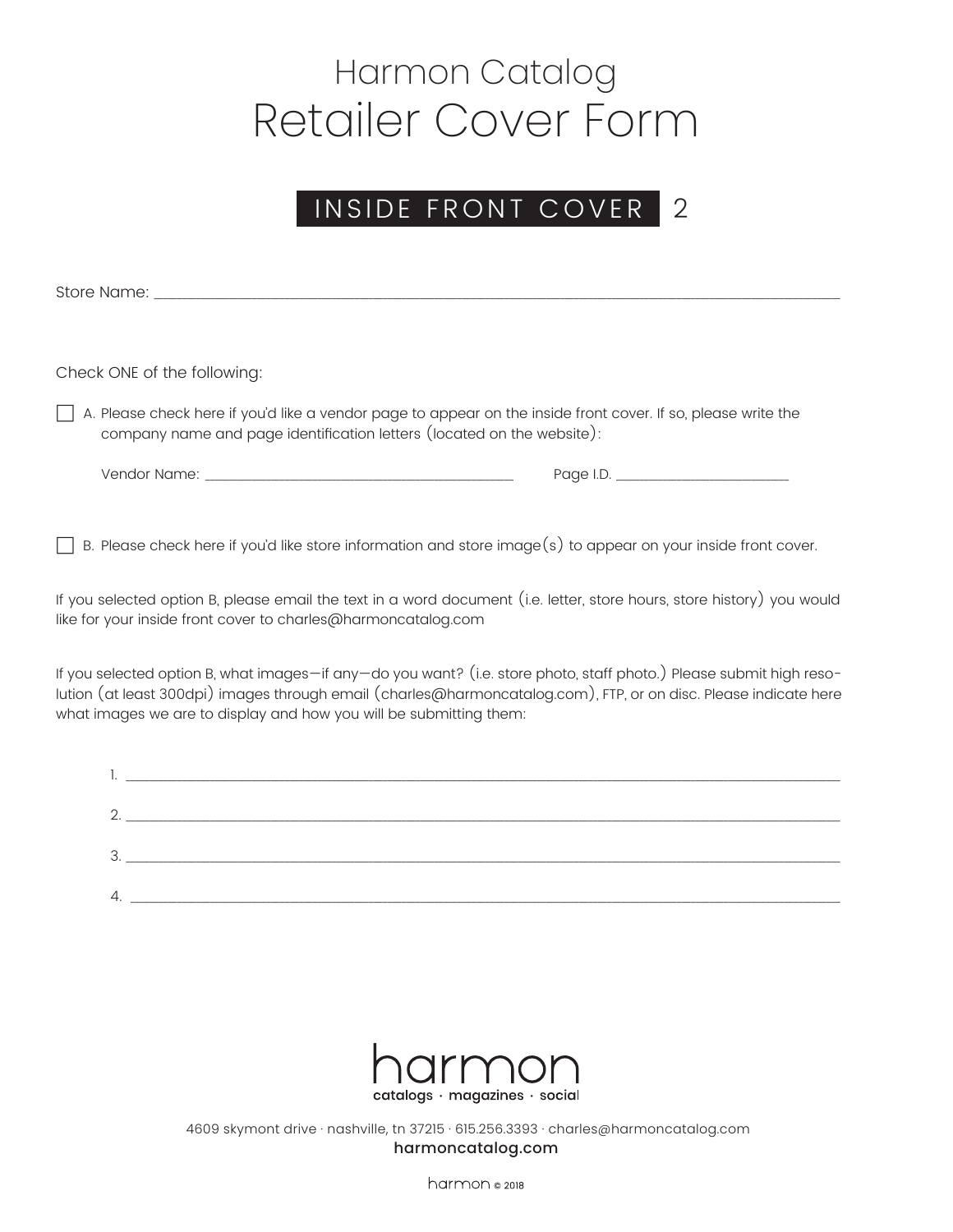#### INSIDE FRONT COVER 2

Store Name:

Check ONE of the following:

 $\Box$  A. Please check here if you'd like a vendor page to appear on the inside front cover. If so, please write the company name and page identification letters (located on the website):

Vendor Name: \_\_\_\_\_\_\_\_\_\_\_\_\_\_\_\_\_\_\_\_\_\_\_\_\_\_\_\_\_\_\_\_\_\_\_\_\_\_\_\_\_\_\_\_\_\_\_\_\_\_\_\_\_\_\_\_\_\_\_\_\_\_\_\_\_\_ Page I.D. \_\_\_\_\_\_\_\_\_\_\_\_\_\_\_\_\_\_\_\_\_\_\_\_\_\_\_\_\_\_\_\_\_\_\_\_\_

 $\Box$  B. Please check here if you'd like store information and store image(s) to appear on your inside front cover.

If you selected option B, please email the text in a word document (i.e. letter, store hours, store history) you would like for your inside front cover to charles@harmoncatalog.com

If you selected option B, what images—if any—do you want? (i.e. store photo, staff photo.) Please submit high resolution (at least 300dpi) images through email (charles@harmoncatalog.com), FTP, or on disc. Please indicate here what images we are to display and how you will be submitting them:

| ٠.             |  |
|----------------|--|
|                |  |
| ⌒<br><u>L.</u> |  |
|                |  |
| っ<br>U.        |  |
|                |  |
| 4.             |  |
|                |  |



4609 skymont drive · nashville, tn 37215 · 615.256.3393 · charles@harmoncatalog.com harmoncatalog.com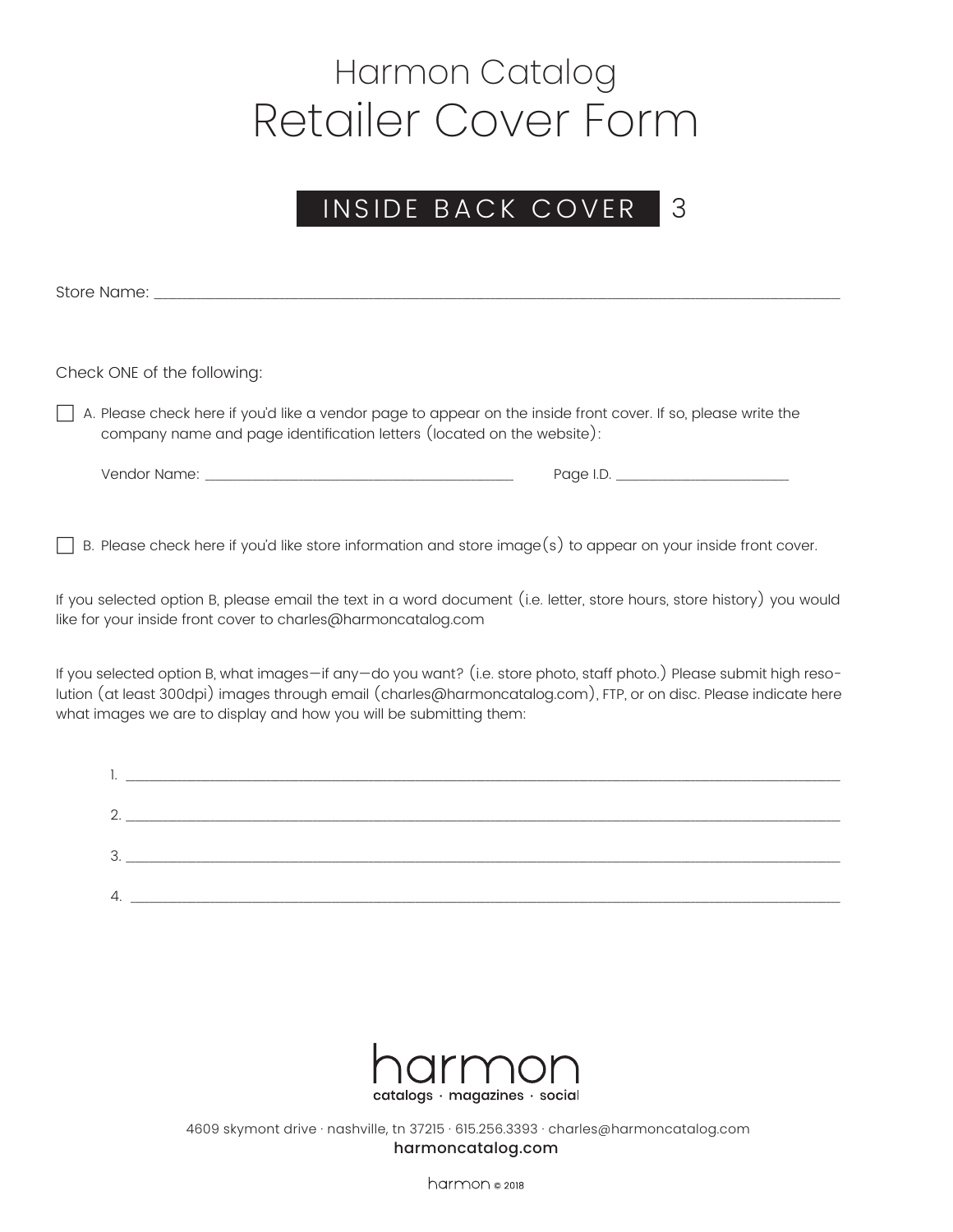### INSIDE BACK COVER 3

Store Name:

Check ONE of the following:

 $\Box$  A. Please check here if you'd like a vendor page to appear on the inside front cover. If so, please write the company name and page identification letters (located on the website):

Vendor Name: \_\_\_\_\_\_\_\_\_\_\_\_\_\_\_\_\_\_\_\_\_\_\_\_\_\_\_\_\_\_\_\_\_\_\_\_\_\_\_\_\_\_\_\_\_\_\_\_\_\_\_\_\_\_\_\_\_\_\_\_\_\_\_\_\_\_ Page I.D. \_\_\_\_\_\_\_\_\_\_\_\_\_\_\_\_\_\_\_\_\_\_\_\_\_\_\_\_\_\_\_\_\_\_\_\_\_

 $\Box$  B. Please check here if you'd like store information and store image(s) to appear on your inside front cover.

If you selected option B, please email the text in a word document (i.e. letter, store hours, store history) you would like for your inside front cover to charles@harmoncatalog.com

If you selected option B, what images—if any—do you want? (i.e. store photo, staff photo.) Please submit high resolution (at least 300dpi) images through email (charles@harmoncatalog.com), FTP, or on disc. Please indicate here what images we are to display and how you will be submitting them:

| ٠.             |  |
|----------------|--|
|                |  |
| ⌒<br><u>L.</u> |  |
|                |  |
| っ<br>U.        |  |
|                |  |
| 4.             |  |
|                |  |



4609 skymont drive · nashville, tn 37215 · 615.256.3393 · charles@harmoncatalog.com harmoncatalog.com